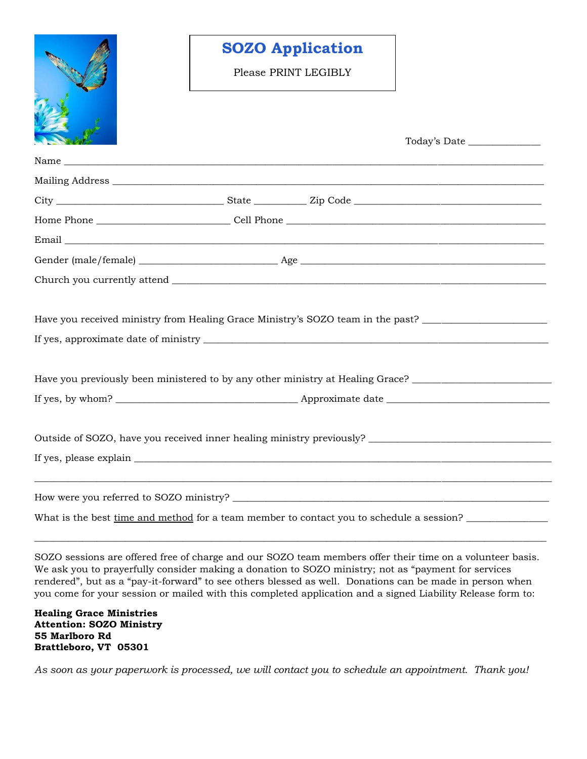| <b>SOZO Application</b><br>Please PRINT LEGIBLY                                                                |  |
|----------------------------------------------------------------------------------------------------------------|--|
|                                                                                                                |  |
|                                                                                                                |  |
|                                                                                                                |  |
|                                                                                                                |  |
|                                                                                                                |  |
|                                                                                                                |  |
|                                                                                                                |  |
|                                                                                                                |  |
| Have you received ministry from Healing Grace Ministry's SOZO team in the past?                                |  |
| Have you previously been ministered to by any other ministry at Healing Grace? _______________________________ |  |
|                                                                                                                |  |
| Outside of SOZO, have you received inner healing ministry previously?                                          |  |
|                                                                                                                |  |
| What is the best time and method for a team member to contact you to schedule a session?                       |  |

SOZO sessions are offered free of charge and our SOZO team members offer their time on a volunteer basis. We ask you to prayerfully consider making a donation to SOZO ministry; not as "payment for services rendered", but as a "pay-it-forward" to see others blessed as well. Donations can be made in person when you come for your session or mailed with this completed application and a signed Liability Release form to:

 $\_$  ,  $\_$  ,  $\_$  ,  $\_$  ,  $\_$  ,  $\_$  ,  $\_$  ,  $\_$  ,  $\_$  ,  $\_$  ,  $\_$  ,  $\_$  ,  $\_$  ,  $\_$  ,  $\_$  ,  $\_$  ,  $\_$  ,  $\_$  ,  $\_$  ,  $\_$  ,  $\_$  ,  $\_$  ,  $\_$  ,  $\_$  ,  $\_$  ,  $\_$  ,  $\_$  ,  $\_$  ,  $\_$  ,  $\_$  ,  $\_$  ,  $\_$  ,  $\_$  ,  $\_$  ,  $\_$  ,  $\_$  ,  $\_$  ,

**Healing Grace Ministries Attention: SOZO Ministry 55 Marlboro Rd Brattleboro, VT 05301**

*As soon as your paperwork is processed, we will contact you to schedule an appointment. Thank you!*